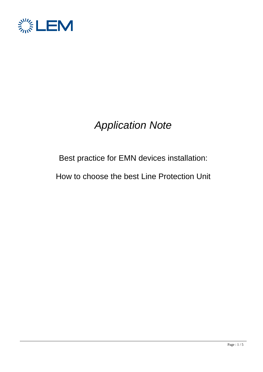

# *Application Note*

## Best practice for EMN devices installation:

How to choose the best Line Protection Unit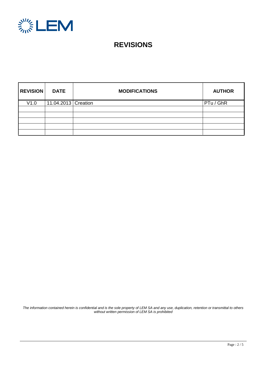

### **REVISIONS**

| <b>REVISION</b> | <b>DATE</b>           | <b>MODIFICATIONS</b> | <b>AUTHOR</b> |
|-----------------|-----------------------|----------------------|---------------|
| V1.0            | 11.04.2013   Creation |                      | PTu / GhR     |
|                 |                       |                      |               |
|                 |                       |                      |               |
|                 |                       |                      |               |
|                 |                       |                      |               |
|                 |                       |                      |               |

*The information contained herein is confidential and is the sole property of LEM SA and any use, duplication, retention or transmittal to others without written permission of LEM SA is prohibited*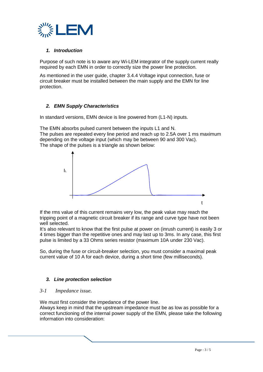

#### *1. Introduction*

Purpose of such note is to aware any Wi-LEM integrator of the supply current really required by each EMN in order to correctly size the power line protection.

As mentioned in the user guide, chapter 3.4.4 Voltage input connection, fuse or circuit breaker must be installed between the main supply and the EMN for line protection.

#### *2. EMN Supply Characteristics*

In standard versions, EMN device is line powered from (L1-N) inputs.

The EMN absorbs pulsed current between the inputs L1 and N. The pulses are repeated every line period and reach up to 2.5A over 1 ms maximum depending on the voltage input (which may be between 90 and 300 Vac). The shape of the pulses is a triangle as shown below:



If the rms value of this current remains very low, the peak value may reach the tripping point of a magnetic circuit breaker if its range and curve type have not been well selected.

It's also relevant to know that the first pulse at power on (inrush current) is easily 3 or 4 times bigger than the repetitive ones and may last up to 3ms. In any case, this first pulse is limited by a 33 Ohms series resistor (maximum 10A under 230 Vac).

So, during the fuse or circuit-breaker selection, you must consider a maximal peak current value of 10 A for each device, during a short time (few milliseconds).

#### *3. Line protection selection*

#### *3-1 Impedance issue.*

We must first consider the impedance of the power line.

Always keep in mind that the upstream impedance must be as low as possible for a correct functioning of the internal power supply of the EMN, please take the following information into consideration: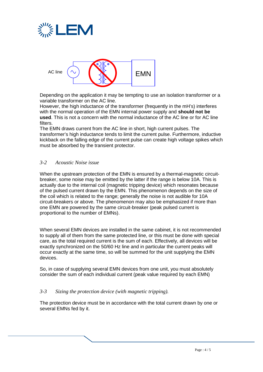



Depending on the application it may be tempting to use an isolation transformer or a variable transformer on the AC line.

However, the high inductance of the transformer (frequently in the mH's) interferes with the normal operation of the EMN internal power supply and **should not be used**. This is not a concern with the normal inductance of the AC line or for AC line filters.

The EMN draws current from the AC line in short, high current pulses. The transformer's high inductance tends to limit the current pulse. Furthermore, inductive kickback on the falling edge of the current pulse can create high voltage spikes which must be absorbed by the transient protector.

#### *3-2 Acoustic Noise issue*

When the upstream protection of the EMN is ensured by a thermal-magnetic circuitbreaker, some noise may be emitted by the latter if the range is below 10A. This is actually due to the internal coil (magnetic tripping device) which resonates because of the pulsed current drawn by the EMN. This phenomenon depends on the size of the coil which is related to the range; generally the noise is not audible for 10A circuit-breakers or above. The phenomenon may also be emphasized if more than one EMN are powered by the same circuit-breaker (peak pulsed current is proportional to the number of EMNs).

When several EMN devices are installed in the same cabinet, it is not recommended to supply all of them from the same protected line, or this must be done with special care, as the total required current is the sum of each. Effectively, all devices will be exactly synchronized on the 50/60 Hz line and in particular the current peaks will occur exactly at the same time, so will be summed for the unit supplying the EMN devices.

So, in case of supplying several EMN devices from one unit, you must absolutely consider the sum of each individual current (peak value required by each EMN)

#### *3-3 Sizing the protection device (with magnetic tripping).*

The protection device must be in accordance with the total current drawn by one or several EMNs fed by it.